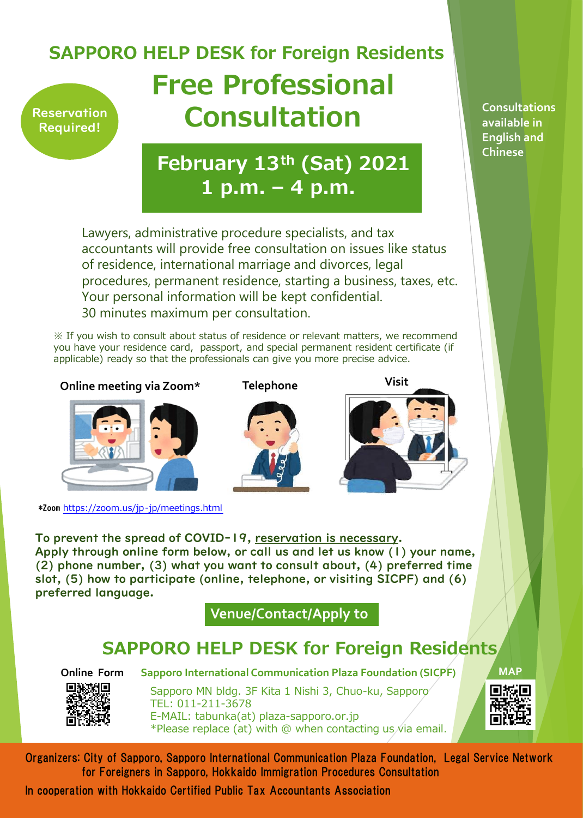## **Reservation** Required! **Free Professional Consultation SAPPORO HELP DESK for Foreign Residents**

**February 13th (Sat) 2021 1 p.m. – 4 p.m.**

Lawyers, administrative procedure specialists, and tax accountants will provide free consultation on issues like status of residence, international marriage and divorces, legal procedures, permanent residence, starting a business, taxes, etc. Your personal information will be kept confidential. 30 minutes maximum per consultation.

※ If you wish to consult about status of residence or relevant matters, we recommend you have your residence card, passport, and special permanent resident certificate (if applicable) ready so that the professionals can give you more precise advice.

**Online meeting via Zoom\* Telephone Visit**



\*Zoom https://zoom.us/jp-jp/meetings.html

To prevent the spread of COVID-19, reservation is necessary. Apply through online form below, or call us and let us know (1) your name, (2) phone number, (3) what you want to consult about, (4) preferred time slot, (5) how to participate (online, telephone, or visiting SICPF) and (6) preferred language.

**Venue/Contact/Apply to**

## **SAPPORO HELP DESK for Foreign Residents**



Sapporo MN bldg. 3F Kita 1 Nishi 3, Chuo-ku, Sapporo TEL: 011-211-3678 E-MAIL: tabunka(at) plaza-sapporo.or.jp \*Please replace (at) with  $\omega$  when contacting us *i* a email. **Online Form Sapporo International Communication Plaza Foundation (SICPF)**

**MAP**

Organizers: City of Sapporo, Sapporo International Communication Plaza Foundation, Legal Service Network for Foreigners in Sapporo, Hokkaido Immigration Procedures Consultation

In cooperation with Hokkaido Certified Public Tax Accountants Association

**Consultations available in English and Chinese**